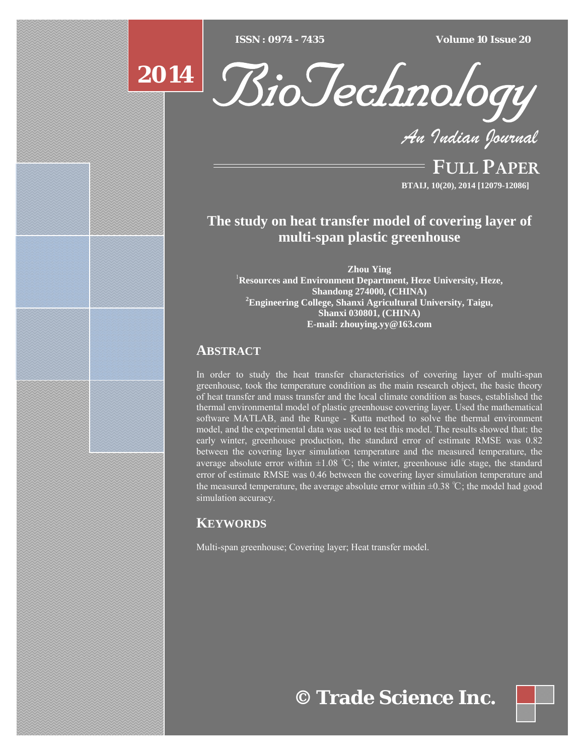$ISSN : 0974 - 7435$ 

*ISSN : 0974 - 7435 Volume 10 Issue 20*



*An Indian Journal*

FULL PAPER **BTAIJ, 10(20), 2014 [12079-12086]**

# **The study on heat transfer model of covering layer of multi-span plastic greenhouse**

**Zhou Ying** <sup>1</sup> **Resources and Environment Department, Heze University, Heze, Shandong 274000, (CHINA) 2 Engineering College, Shanxi Agricultural University, Taigu, Shanxi 030801, (CHINA) E-mail: zhouying.yy@163.com**

## **ABSTRACT**

**2014**

In order to study the heat transfer characteristics of covering layer of multi-span greenhouse, took the temperature condition as the main research object, the basic theory of heat transfer and mass transfer and the local climate condition as bases, established the thermal environmental model of plastic greenhouse covering layer. Used the mathematical software MATLAB, and the Runge - Kutta method to solve the thermal environment model, and the experimental data was used to test this model. The results showed that: the early winter, greenhouse production, the standard error of estimate RMSE was 0.82 between the covering layer simulation temperature and the measured temperature, the average absolute error within  $\pm 1.08$  °C; the winter, greenhouse idle stage, the standard error of estimate RMSE was 0.46 between the covering layer simulation temperature and the measured temperature, the average absolute error within  $\pm 0.38 \degree C$ ; the model had good simulation accuracy.

## **KEYWORDS**

Multi-span greenhouse; Covering layer; Heat transfer model.

**© Trade Science Inc.**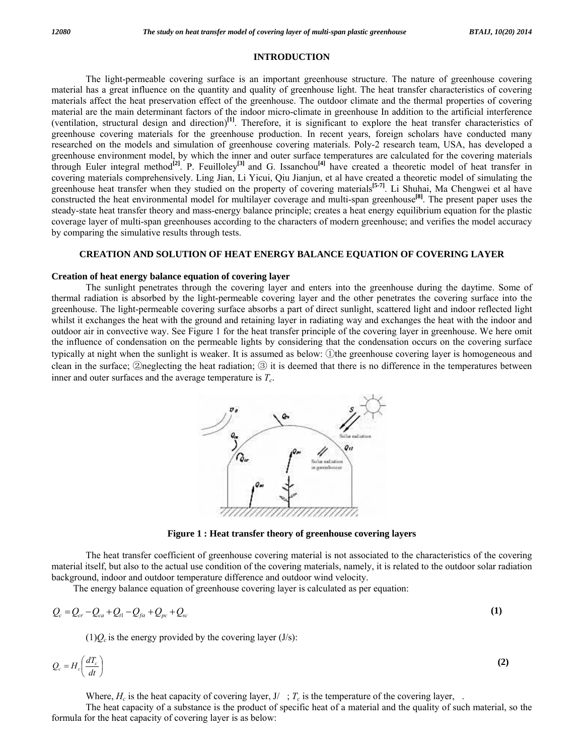### **INTRODUCTION**

 The light-permeable covering surface is an important greenhouse structure. The nature of greenhouse covering material has a great influence on the quantity and quality of greenhouse light. The heat transfer characteristics of covering materials affect the heat preservation effect of the greenhouse. The outdoor climate and the thermal properties of covering material are the main determinant factors of the indoor micro-climate in greenhouse In addition to the artificial interference (ventilation, structural design and direction)**[1]**. Therefore, it is significant to explore the heat transfer characteristics of greenhouse covering materials for the greenhouse production. In recent years, foreign scholars have conducted many researched on the models and simulation of greenhouse covering materials. Poly-2 research team, USA, has developed a greenhouse environment model, by which the inner and outer surface temperatures are calculated for the covering materials through Euler integral method**[2]**. P. Feuilloley**[3]** and G. Issanchou**[4]** have created a theoretic model of heat transfer in covering materials comprehensively. Ling Jian, Li Yicui, Qiu Jianjun, et al have created a theoretic model of simulating the greenhouse heat transfer when they studied on the property of covering materials**[5-7]**. Li Shuhai, Ma Chengwei et al have constructed the heat environmental model for multilayer coverage and multi-span greenhouse<sup>[8]</sup>. The present paper uses the steady-state heat transfer theory and mass-energy balance principle; creates a heat energy equilibrium equation for the plastic coverage layer of multi-span greenhouses according to the characters of modern greenhouse; and verifies the model accuracy by comparing the simulative results through tests.

## **CREATION AND SOLUTION OF HEAT ENERGY BALANCE EQUATION OF COVERING LAYER**

### **Creation of heat energy balance equation of covering layer**

 The sunlight penetrates through the covering layer and enters into the greenhouse during the daytime. Some of thermal radiation is absorbed by the light-permeable covering layer and the other penetrates the covering surface into the greenhouse. The light-permeable covering surface absorbs a part of direct sunlight, scattered light and indoor reflected light whilst it exchanges the heat with the ground and retaining layer in radiating way and exchanges the heat with the indoor and outdoor air in convective way. See Figure 1 for the heat transfer principle of the covering layer in greenhouse. We here omit the influence of condensation on the permeable lights by considering that the condensation occurs on the covering surface typically at night when the sunlight is weaker. It is assumed as below: ①the greenhouse covering layer is homogeneous and clean in the surface; ②neglecting the heat radiation; ③ it is deemed that there is no difference in the temperatures between inner and outer surfaces and the average temperature is  $T_c$ .



**Figure 1 : Heat transfer theory of greenhouse covering layers** 

 The heat transfer coefficient of greenhouse covering material is not associated to the characteristics of the covering material itself, but also to the actual use condition of the covering materials, namely, it is related to the outdoor solar radiation background, indoor and outdoor temperature difference and outdoor wind velocity.

The energy balance equation of greenhouse covering layer is calculated as per equation:

$$
Q_c = Q_{cr} - Q_{ca} + Q_{l1} - Q_{f\alpha} + Q_{pc} + Q_{sc}
$$
\n
$$
(1)
$$

 $(1)Q_c$  is the energy provided by the covering layer (J/s):

$$
Q_c = H_c \left( \frac{dT_c}{dt} \right) \tag{2}
$$

Where,  $H_c$  is the heat capacity of covering layer,  $J / \gamma_c$  is the temperature of the covering layer,.

 The heat capacity of a substance is the product of specific heat of a material and the quality of such material, so the formula for the heat capacity of covering layer is as below: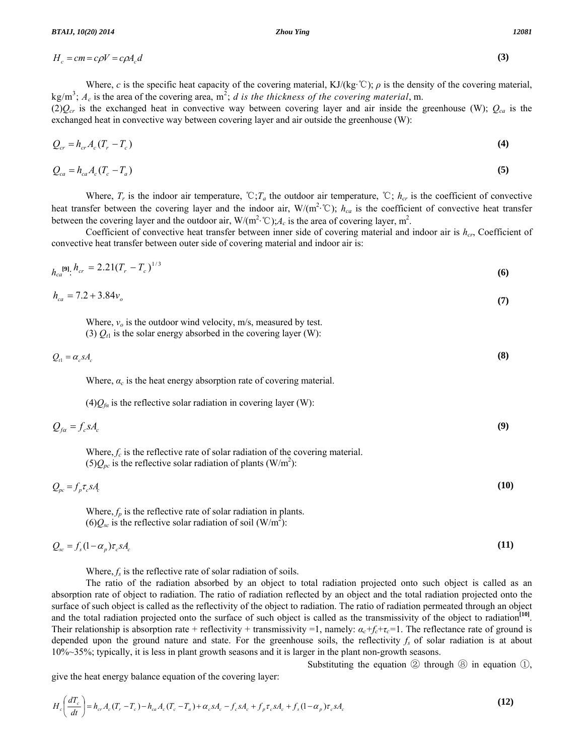$H_c = cm = c\rho V = c\rho A_c d$  (3)

Where, *c* is the specific heat capacity of the covering material, KJ/(kg·℃);  $\rho$  is the density of the covering material,  $kg/m<sup>3</sup>$ ;  $A_c$  is the area of the covering area,  $m<sup>2</sup>$ ; *d is the thickness of the covering material*, m.

 $(2)Q_{cr}$  is the exchanged heat in convective way between covering layer and air inside the greenhouse (W);  $Q_{ca}$  is the exchanged heat in convective way between covering layer and air outside the greenhouse (W):

$$
Q_{cr} = h_{cr} A_c (T_r - T_c) \tag{4}
$$

$$
Q_{ca} = h_{ca} A_c (T_c - T_a) \tag{5}
$$

Where,  $T_r$  is the indoor air temperature,  $\mathcal{C}$ ;  $T_a$  the outdoor air temperature,  $\mathcal{C}$ ;  $h_{cr}$  is the coefficient of convective heat transfer between the covering layer and the indoor air,  $W/(m^2 \degree C)$ ;  $h_{ca}$  is the coefficient of convective heat transfer between the covering layer and the outdoor air,  $W/(m^2 \cdot C); A_c$  is the area of covering layer, m<sup>2</sup>.

Coefficient of convective heat transfer between inner side of covering material and indoor air is  $h_{cr}$ , Coefficient of convective heat transfer between outer side of covering material and indoor air is:

$$
h_{ca}^{[9]}\cdot h_{cr} = 2.21(T_r - T_c)^{1/3} \tag{6}
$$

$$
h_{ca} = 7.2 + 3.84v_o \tag{7}
$$

Where,  $v<sub>o</sub>$  is the outdoor wind velocity, m/s, measured by test. (3)  $Q_{t1}$  is the solar energy absorbed in the covering layer (W):

$$
Q_{\scriptscriptstyle{c1}} = \alpha_{\scriptscriptstyle{c}} s A_{\scriptscriptstyle{c}} \tag{8}
$$

Where,  $\alpha_c$  is the heat energy absorption rate of covering material.

 $(4)Q_{fa}$  is the reflective solar radiation in covering layer (W):

$$
Q_{fa} = f_c s A_c \tag{9}
$$

Where,  $f_c$  is the reflective rate of solar radiation of the covering material.  $(5)Q_{pc}$  is the reflective solar radiation of plants (W/m<sup>2</sup>):

$$
Q_{\rho c} = f_{\rho} \tau_c s A_c \tag{10}
$$

Where,  $f_p$  is the reflective rate of solar radiation in plants.  $(6)Q_{sc}$  is the reflective solar radiation of soil  $(W/m^2)$ :

$$
Q_{sc} = f_s(1 - \alpha_p)\tau_c s A_c \tag{11}
$$

Where,  $f_s$  is the reflective rate of solar radiation of soils.

 The ratio of the radiation absorbed by an object to total radiation projected onto such object is called as an absorption rate of object to radiation. The ratio of radiation reflected by an object and the total radiation projected onto the surface of such object is called as the reflectivity of the object to radiation. The ratio of radiation permeated through an object and the total radiation projected onto the surface of such object is called as the transmissivity of the object to radiation<sup>[10]</sup>. Their relationship is absorption rate + reflectivity + transmissivity =1, namely:  $\alpha_c + f_c + \tau_c = 1$ . The reflectance rate of ground is depended upon the ground nature and state. For the greenhouse soils, the reflectivity  $f_s$  of solar radiation is at about 10%~35%; typically, it is less in plant growth seasons and it is larger in the plant non-growth seasons.

Substituting the equation  $\circled{2}$  through  $\circled{8}$  in equation  $\circled{1}$ ,

give the heat energy balance equation of the covering layer:

$$
H_c\left(\frac{dT_c}{dt}\right) = h_{cr}A_c(T_r - T_c) - h_{ca}A_c(T_c - T_a) + \alpha_c sA_c - f_c sA_c + f_p \tau_c sA_c + f_s(1 - \alpha_p)\tau_c sA_c
$$
\n(12)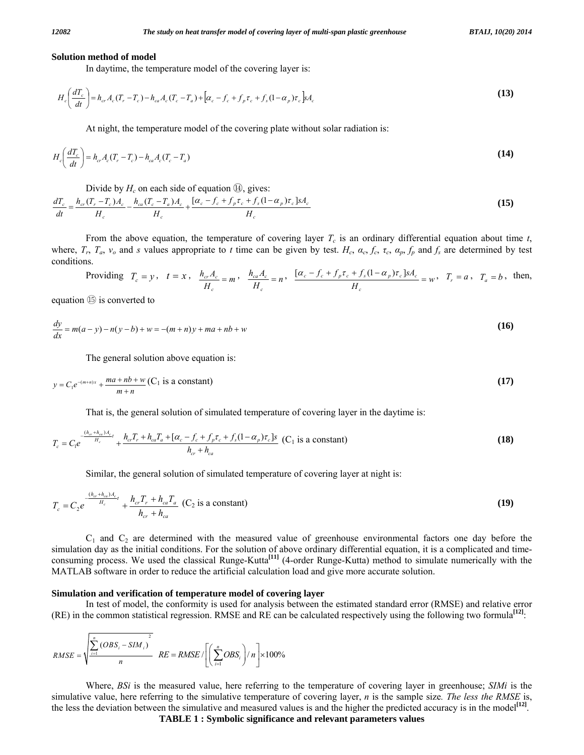#### **Solution method of model**

In daytime, the temperature model of the covering layer is:

$$
H_c\left(\frac{dT_c}{dt}\right) = h_{cr}A_c(T_r - T_c) - h_{ca}A_c(T_c - T_a) + \left[\alpha_c - f_c + f_p\tau_c + f_s(1 - \alpha_p)\tau_c\right]A_c
$$
\n(13)

At night, the temperature model of the covering plate without solar radiation is:

$$
H_c\left(\frac{dT_c}{dt}\right) = h_{cr}A_c(T_r - T_c) - h_{ca}A_c(T_c - T_a)
$$
\n(14)

Divide by  $H_c$  on each side of equation  $\omega$ , gives:

$$
\frac{dT_c}{dt} = \frac{h_{cr}(T_r - T_c)A_c}{H_c} - \frac{h_{ca}(T_c - T_a)A_c}{H_c} + \frac{[\alpha_c - f_c + f_p \tau_c + f_s(1 - \alpha_p)\tau_c]sA_c}{H_c}
$$
\n(15)

From the above equation, the temperature of covering layer  $T_c$  is an ordinary differential equation about time  $t$ , where,  $T_r$ ,  $T_a$ ,  $v_o$  and s values appropriate to t time can be given by test.  $H_c$ ,  $\alpha_c$ ,  $f_c$ ,  $\alpha_p$ ,  $f_p$  and  $f_s$  are determined by test conditions.

Providing 
$$
T_c = y
$$
,  $t = x$ ,  $\frac{h_{cr}A_c}{H_c} = m$ ,  $\frac{h_{ca}A_c}{H_c} = n$ ,  $\frac{[\alpha_c - f_c + f_p\tau_c + f_s(1 - \alpha_p)\tau_c]sA_c}{H_c} = w$ ,  $T_r = a$ ,  $T_a = b$ , then,

equation ⑮ is converted to

$$
\frac{dy}{dx} = m(a-y) - n(y-b) + w = -(m+n)y + ma + nb + w \tag{16}
$$

The general solution above equation is:

$$
y = C_1 e^{-(m+n)x} + \frac{ma + nb + w}{m+n} (C_1 \text{ is a constant})
$$
\n
$$
(17)
$$

That is, the general solution of simulated temperature of covering layer in the daytime is:

$$
T_c = C_1 e^{\frac{-(h_{cr} + h_{ca})A_c}{H_c}} + \frac{h_{cr}T_r + h_{ca}T_a + [\alpha_c - f_c + f_p\tau_c + f_s(1 - \alpha_p)\tau_c]s}{h_{cr} + h_{ca}}
$$
 (C<sub>1</sub> is a constant) (18)

Similar, the general solution of simulated temperature of covering layer at night is:

$$
T_c = C_2 e^{-\frac{(h_{cr} + h_{ca})A_c}{H_c}} + \frac{h_{cr}T_r + h_{ca}T_a}{h_{cr} + h_{ca}}
$$
 (C<sub>2</sub> is a constant) (19)

 $C_1$  and  $C_2$  are determined with the measured value of greenhouse environmental factors one day before the simulation day as the initial conditions. For the solution of above ordinary differential equation, it is a complicated and timeconsuming process. We used the classical Runge-Kutta**[11]** (4-order Runge-Kutta) method to simulate numerically with the MATLAB software in order to reduce the artificial calculation load and give more accurate solution.

#### **Simulation and verification of temperature model of covering layer**

 In test of model, the conformity is used for analysis between the estimated standard error (RMSE) and relative error (RE) in the common statistical regression. RMSE and RE can be calculated respectively using the following two formula**[12]**:

$$
RMSE = \sqrt{\frac{\sum_{i=1}^{n} (OBS_i - SIM_i)^2}{n}} \quad RE = RMSE / \left[ \left( \sum_{i=1}^{n} OBS_i \right) / n \right] \times 100\%
$$

 Where, *BSi* is the measured value, here referring to the temperature of covering layer in greenhouse; *SIMi* is the simulative value, here referring to the simulative temperature of covering layer, *n* is the sample size*. The less the RMSE* is, the less the deviation between the simulative and measured values is and the higher the predicted accuracy is in the model**[12]**.

**TABLE 1 : Symbolic significance and relevant parameters values**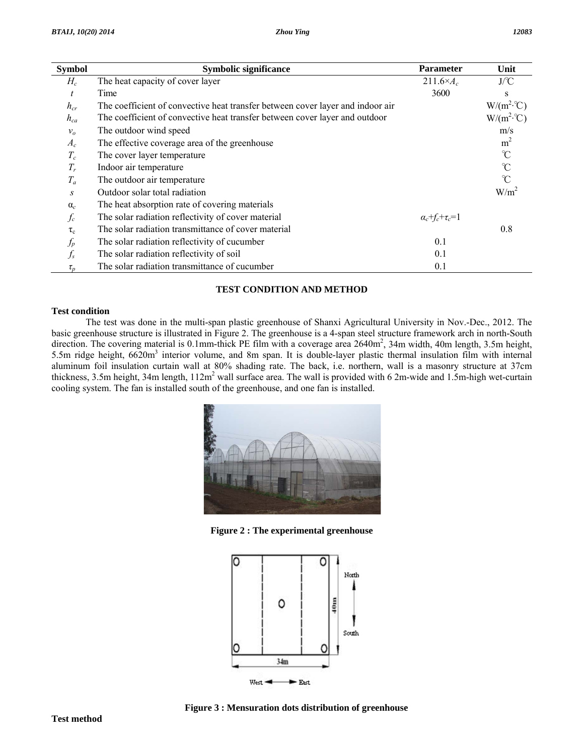| <b>Symbol</b>  | Symbolic significance                                                          | <b>Parameter</b>              | Unit             |
|----------------|--------------------------------------------------------------------------------|-------------------------------|------------------|
| $H_c$          | The heat capacity of cover layer                                               | $211.6\times A_c$             | J/C              |
| t              | Time                                                                           | 3600                          | S                |
| $h_{cr}$       | The coefficient of convective heat transfer between cover layer and indoor air |                               | $W/(m^2 C)$      |
| $h_{ca}$       | The coefficient of convective heat transfer between cover layer and outdoor    |                               | $W/(m^2 C)$      |
| v <sub>o</sub> | The outdoor wind speed                                                         |                               | m/s              |
| $A_c$          | The effective coverage area of the greenhouse                                  |                               | m <sup>2</sup>   |
| $T_c$          | The cover layer temperature                                                    |                               | $\mathcal{C}$    |
| $T_r$          | Indoor air temperature                                                         |                               | $\mathrm{C}$     |
| $T_a$          | The outdoor air temperature                                                    |                               | $\mathcal{C}$    |
| S              | Outdoor solar total radiation                                                  |                               | W/m <sup>2</sup> |
| $\alpha_c$     | The heat absorption rate of covering materials                                 |                               |                  |
| $f_c$          | The solar radiation reflectivity of cover material                             | $\alpha_c + f_c + \tau_c = 1$ |                  |
| $\tau_c$       | The solar radiation transmittance of cover material                            |                               | 0.8              |
| $f_{\!p}$      | The solar radiation reflectivity of cucumber                                   | 0.1                           |                  |
| $f_{s}$        | The solar radiation reflectivity of soil                                       | 0.1                           |                  |
| $\tau_{p}$     | The solar radiation transmittance of cucumber                                  | 0.1                           |                  |

## **TEST CONDITION AND METHOD**

## **Test condition**

 The test was done in the multi-span plastic greenhouse of Shanxi Agricultural University in Nov.-Dec., 2012. The basic greenhouse structure is illustrated in Figure 2. The greenhouse is a 4-span steel structure framework arch in north-South direction. The covering material is 0.1mm-thick PE film with a coverage area 2640m<sup>2</sup>, 34m width, 40m length, 3.5m height, 5.5m ridge height, 6620m<sup>3</sup> interior volume, and 8m span. It is double-layer plastic thermal insulation film with internal aluminum foil insulation curtain wall at 80% shading rate. The back, i.e. northern, wall is a masonry structure at 37cm thickness, 3.5m height, 34m length,  $112m^2$  wall surface area. The wall is provided with 6 2m-wide and 1.5m-high wet-curtain cooling system. The fan is installed south of the greenhouse, and one fan is installed.



**Figure 2 : The experimental greenhouse** 



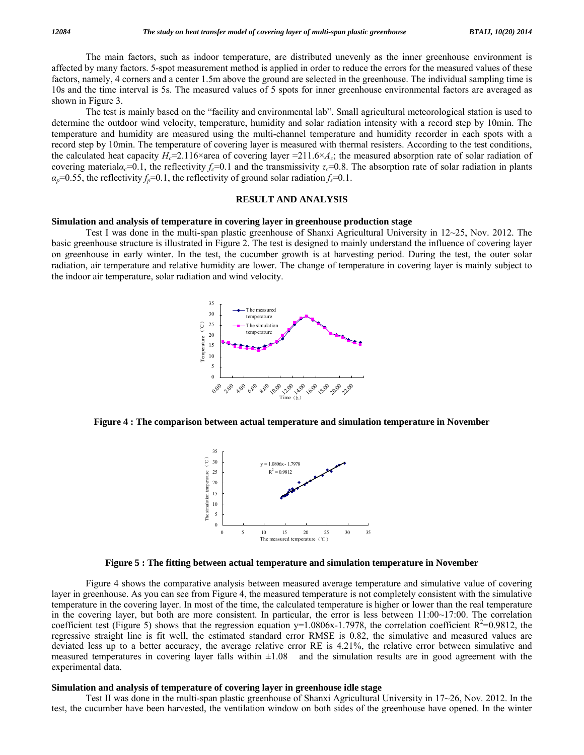The main factors, such as indoor temperature, are distributed unevenly as the inner greenhouse environment is affected by many factors. 5-spot measurement method is applied in order to reduce the errors for the measured values of these factors, namely, 4 corners and a center 1.5m above the ground are selected in the greenhouse. The individual sampling time is 10s and the time interval is 5s. The measured values of 5 spots for inner greenhouse environmental factors are averaged as shown in Figure 3.

 The test is mainly based on the "facility and environmental lab". Small agricultural meteorological station is used to determine the outdoor wind velocity, temperature, humidity and solar radiation intensity with a record step by 10min. The temperature and humidity are measured using the multi-channel temperature and humidity recorder in each spots with a record step by 10min. The temperature of covering layer is measured with thermal resisters. According to the test conditions, the calculated heat capacity  $H_c=2.116\times$  area of covering layer  $=211.6\times A_c$ ; the measured absorption rate of solar radiation of covering material $\alpha_c$ =0.1, the reflectivity  $f_c$ =0.1 and the transmissivity  $\tau_c$ =0.8. The absorption rate of solar radiation in plants  $\alpha_p$ =0.55, the reflectivity  $f_p$ =0.1, the reflectivity of ground solar radiation  $f_s$ =0.1.

## **RESULT AND ANALYSIS**

### **Simulation and analysis of temperature in covering layer in greenhouse production stage**

 Test I was done in the multi-span plastic greenhouse of Shanxi Agricultural University in 12~25, Nov. 2012. The basic greenhouse structure is illustrated in Figure 2. The test is designed to mainly understand the influence of covering layer on greenhouse in early winter. In the test, the cucumber growth is at harvesting period. During the test, the outer solar radiation, air temperature and relative humidity are lower. The change of temperature in covering layer is mainly subject to the indoor air temperature, solar radiation and wind velocity.



**Figure 4 : The comparison between actual temperature and simulation temperature in November** 



**Figure 5 : The fitting between actual temperature and simulation temperature in November** 

 Figure 4 shows the comparative analysis between measured average temperature and simulative value of covering layer in greenhouse. As you can see from Figure 4, the measured temperature is not completely consistent with the simulative temperature in the covering layer. In most of the time, the calculated temperature is higher or lower than the real temperature in the covering layer, but both are more consistent. In particular, the error is less between 11:00~17:00. The correlation coefficient test (Figure 5) shows that the regression equation y=1.0806x-1.7978, the correlation coefficient  $R^2$ =0.9812, the regressive straight line is fit well, the estimated standard error RMSE is 0.82, the simulative and measured values are deviated less up to a better accuracy, the average relative error RE is 4.21%, the relative error between simulative and measured temperatures in covering layer falls within  $\pm 1.08$  and the simulation results are in good agreement with the experimental data.

## **Simulation and analysis of temperature of covering layer in greenhouse idle stage**

 Test II was done in the multi-span plastic greenhouse of Shanxi Agricultural University in 17~26, Nov. 2012. In the test, the cucumber have been harvested, the ventilation window on both sides of the greenhouse have opened. In the winter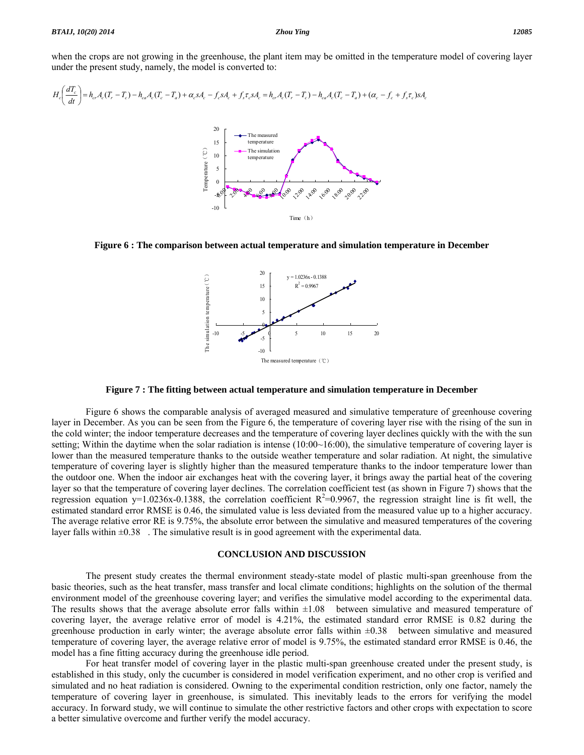when the crops are not growing in the greenhouse, the plant item may be omitted in the temperature model of covering layer under the present study, namely, the model is converted to:

$$
H_c\left(\frac{dT_c}{dt}\right) = h_{cr}A_c(T_r - T_c) - h_{ca}A_c(T_c - T_a) + \alpha_c sA_c - f_c sA_c + f_s \tau_c sA_c = h_{cr}A_c(T_r - T_c) - h_{ca}A_c(T_c - T_a) + (\alpha_c - f_c + f_s \tau_c)sA_c
$$

**Figure 6 : The comparison between actual temperature and simulation temperature in December**

 $= 1.0236x - 0.1388$  $R^2 = 0.9967$ 



 $-10$   $-5$  0 5 10 15 20

The measured temperature (℃)

-10 -5  $\theta$ 5 10 15 20

The simulation temperature(℃)

The simulation temperature (°C)

 Figure 6 shows the comparable analysis of averaged measured and simulative temperature of greenhouse covering layer in December. As you can be seen from the Figure 6, the temperature of covering layer rise with the rising of the sun in the cold winter; the indoor temperature decreases and the temperature of covering layer declines quickly with the with the sun setting; Within the daytime when the solar radiation is intense  $(10:00~16:00)$ , the simulative temperature of covering layer is lower than the measured temperature thanks to the outside weather temperature and solar radiation. At night, the simulative temperature of covering layer is slightly higher than the measured temperature thanks to the indoor temperature lower than the outdoor one. When the indoor air exchanges heat with the covering layer, it brings away the partial heat of the covering layer so that the temperature of covering layer declines. The correlation coefficient test (as shown in Figure 7) shows that the regression equation y=1.0236x-0.1388, the correlation coefficient  $R^2$ =0.9967, the regression straight line is fit well, the estimated standard error RMSE is 0.46, the simulated value is less deviated from the measured value up to a higher accuracy. The average relative error RE is 9.75%, the absolute error between the simulative and measured temperatures of the covering layer falls within  $\pm 0.38$ . The simulative result is in good agreement with the experimental data.

#### **CONCLUSION AND DISCUSSION**

 The present study creates the thermal environment steady-state model of plastic multi-span greenhouse from the basic theories, such as the heat transfer, mass transfer and local climate conditions; highlights on the solution of the thermal environment model of the greenhouse covering layer; and verifies the simulative model according to the experimental data. The results shows that the average absolute error falls within  $\pm 1.08$  between simulative and measured temperature of covering layer, the average relative error of model is 4.21%, the estimated standard error RMSE is 0.82 during the greenhouse production in early winter; the average absolute error falls within  $\pm 0.38$  between simulative and measured temperature of covering layer, the average relative error of model is 9.75%, the estimated standard error RMSE is 0.46, the model has a fine fitting accuracy during the greenhouse idle period.

 For heat transfer model of covering layer in the plastic multi-span greenhouse created under the present study, is established in this study, only the cucumber is considered in model verification experiment, and no other crop is verified and simulated and no heat radiation is considered. Owning to the experimental condition restriction, only one factor, namely the temperature of covering layer in greenhouse, is simulated. This inevitably leads to the errors for verifying the model accuracy. In forward study, we will continue to simulate the other restrictive factors and other crops with expectation to score a better simulative overcome and further verify the model accuracy.